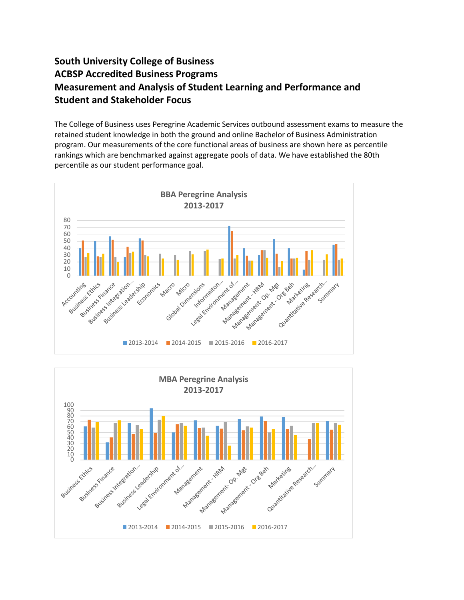## **South University College of Business ACBSP Accredited Business Programs Measurement and Analysis of Student Learning and Performance and Student and Stakeholder Focus**

The College of Business uses Peregrine Academic Services outbound assessment exams to measure the retained student knowledge in both the ground and online Bachelor of Business Administration program. Our measurements of the core functional areas of business are shown here as percentile rankings which are benchmarked against aggregate pools of data. We have established the 80th percentile as our student performance goal.



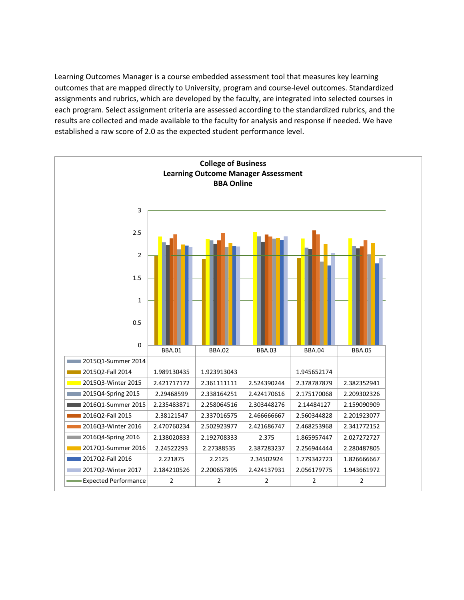Learning Outcomes Manager is a course embedded assessment tool that measures key learning outcomes that are mapped directly to University, program and course-level outcomes. Standardized assignments and rubrics, which are developed by the faculty, are integrated into selected courses in each program. Select assignment criteria are assessed according to the standardized rubrics, and the results are collected and made available to the faculty for analysis and response if needed. We have established a raw score of 2.0 as the expected student performance level.

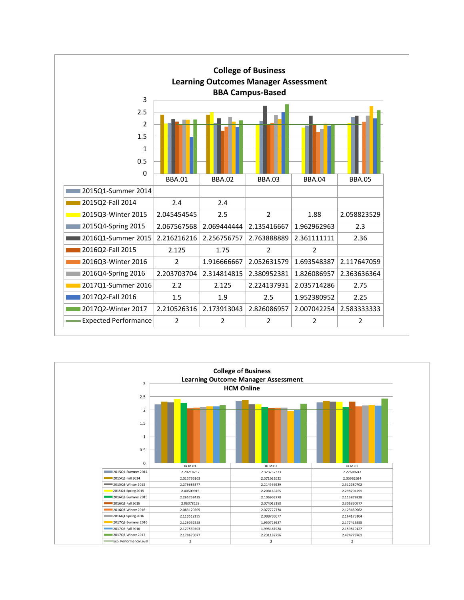

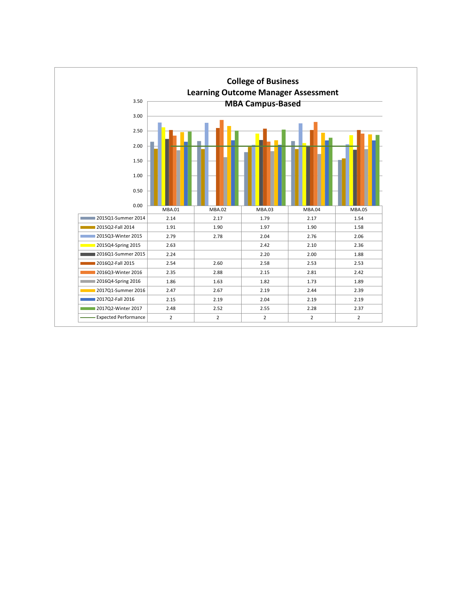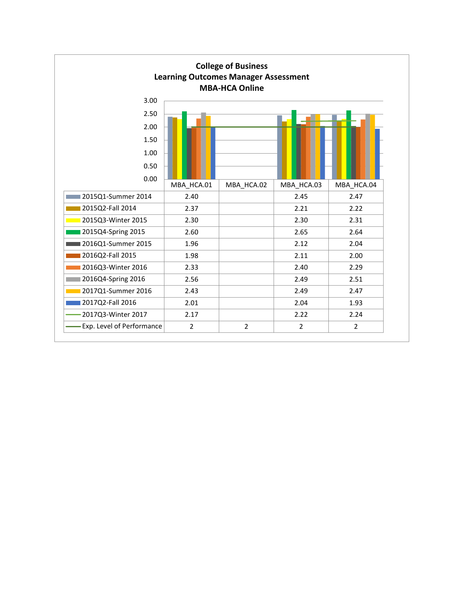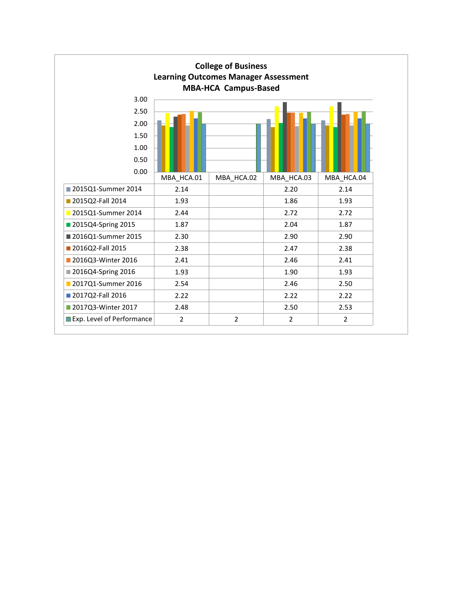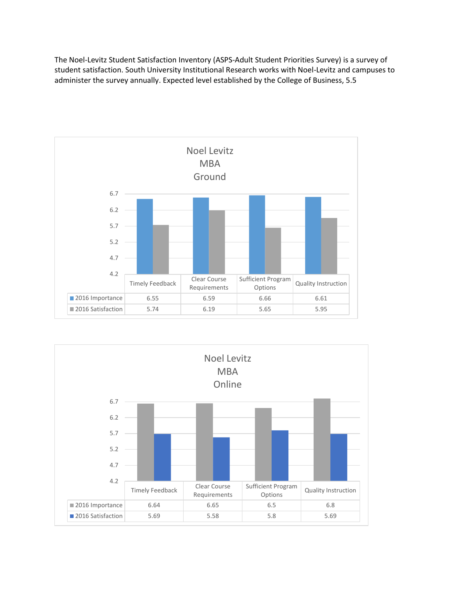The Noel-Levitz Student Satisfaction Inventory (ASPS-Adult Student Priorities Survey) is a survey of student satisfaction. South University Institutional Research works with Noel-Levitz and campuses to administer the survey annually. Expected level established by the College of Business, 5.5



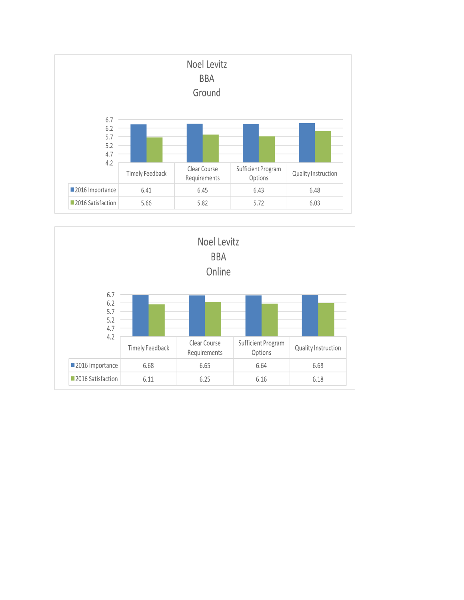

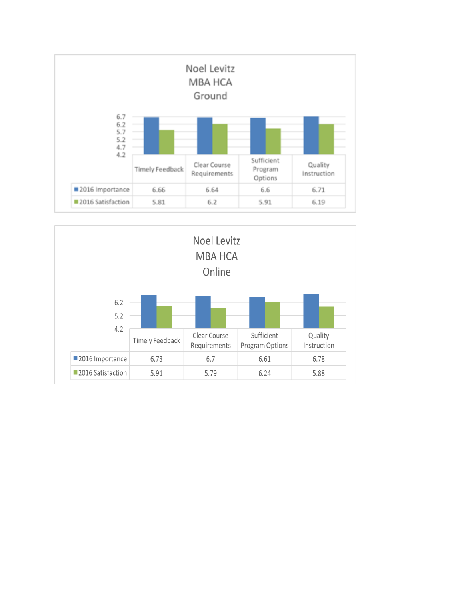